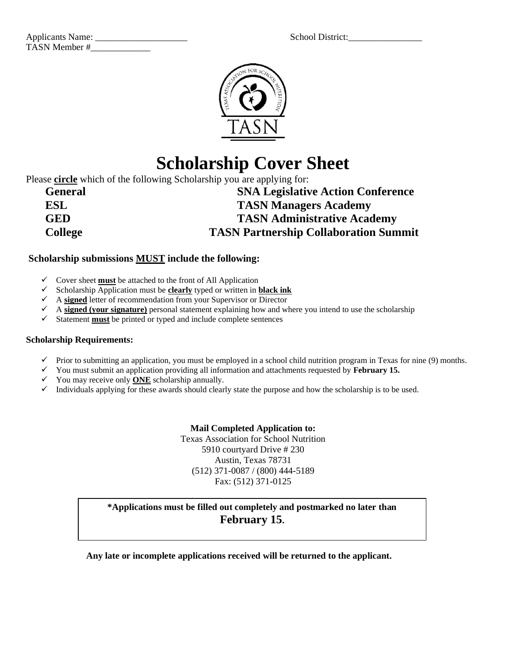| <b>School District:</b> |
|-------------------------|
|                         |

| <b>Applicants Name:</b> | School District: |
|-------------------------|------------------|
| TASN Member #           |                  |



# **Scholarship Cover Sheet**

Please **circle** which of the following Scholarship you are applying for:

| <b>General</b> | <b>SNA Legislative Action Conference</b>     |
|----------------|----------------------------------------------|
| <b>ESL</b>     | <b>TASN Managers Academy</b>                 |
| <b>GED</b>     | <b>TASN Administrative Academy</b>           |
| <b>College</b> | <b>TASN Partnership Collaboration Summit</b> |

#### **Scholarship submissions MUST include the following:**

- ✓ Cover sheet **must** be attached to the front of All Application
- ✓ Scholarship Application must be **clearly** typed or written in **black ink**
- ✓ A **signed** letter of recommendation from your Supervisor or Director
- ✓ A **signed (your signature)** personal statement explaining how and where you intend to use the scholarship
- ✓ Statement **must** be printed or typed and include complete sentences

#### **Scholarship Requirements:**

- $\checkmark$  Prior to submitting an application, you must be employed in a school child nutrition program in Texas for nine (9) months.
- ✓ You must submit an application providing all information and attachments requested by **February 15.**
- ✓ You may receive only **ONE** scholarship annually.
- $\checkmark$  Individuals applying for these awards should clearly state the purpose and how the scholarship is to be used.

#### **Mail Completed Application to:**

Texas Association for School Nutrition 5910 courtyard Drive # 230 Austin, Texas 78731 (512) 371-0087 / (800) 444-5189 Fax: (512) 371-0125

### **\*Applications must be filled out completely and postmarked no later than February 15.**

**Any late or incomplete applications received will be returned to the applicant.**